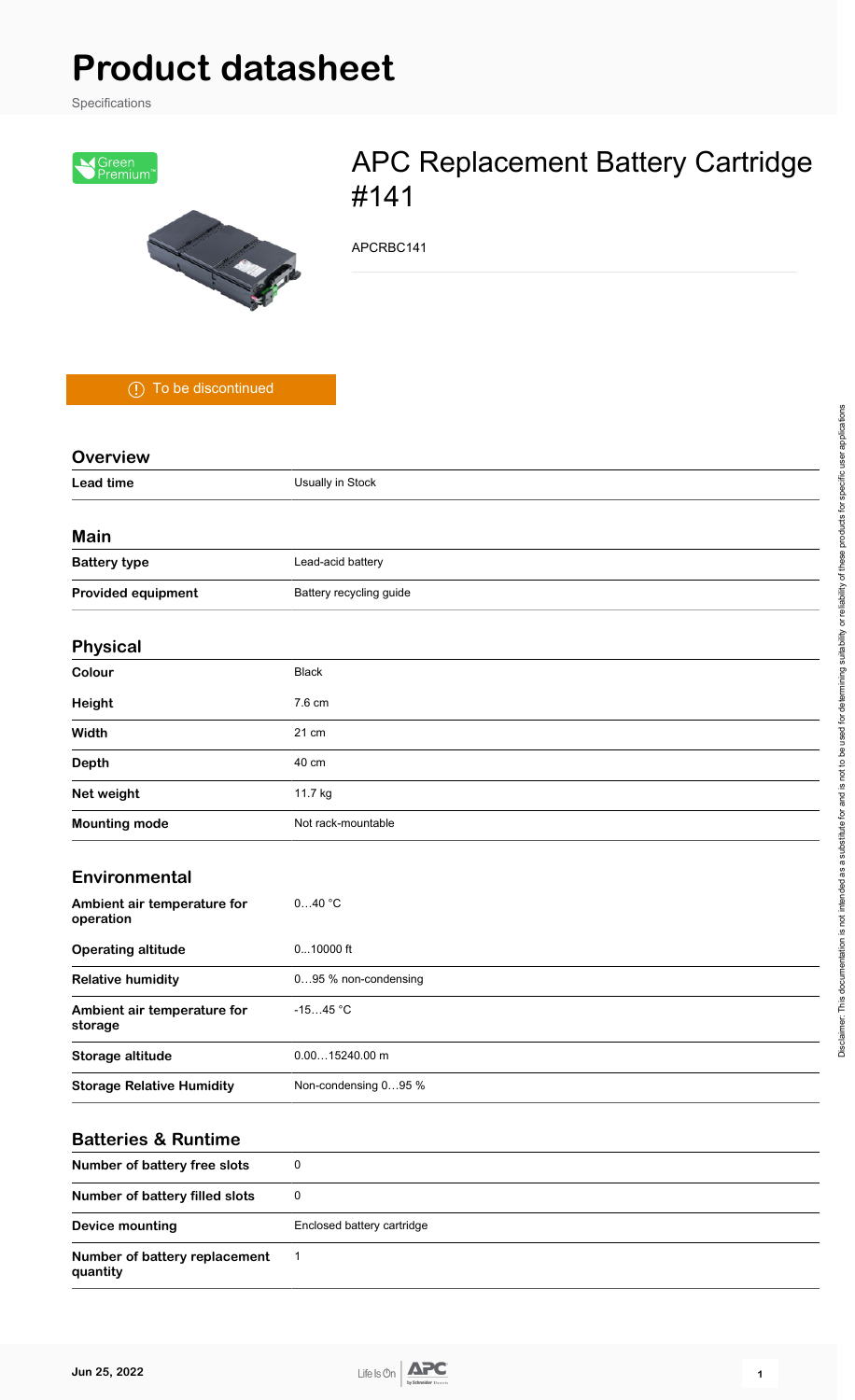# **Product datasheet**

Specifications



## APC Replacement Battery Cartridge #141

APCRBC141

To be discontinued

| <b>Overview</b>                          |                         |
|------------------------------------------|-------------------------|
| <b>Lead time</b>                         | Usually in Stock        |
|                                          |                         |
| Main                                     |                         |
| <b>Battery type</b>                      | Lead-acid battery       |
| <b>Provided equipment</b>                | Battery recycling guide |
| <b>Physical</b>                          |                         |
| Colour                                   | <b>Black</b>            |
| Height                                   | 7.6 cm                  |
| Width                                    | 21 cm                   |
| <b>Depth</b>                             | 40 cm                   |
| Net weight                               | 11.7 kg                 |
| <b>Mounting mode</b>                     | Not rack-mountable      |
| Environmental                            |                         |
| Ambient air temperature for<br>operation | 040 °C                  |
| <b>Operating altitude</b>                | $010000$ ft             |
| <b>Relative humidity</b>                 | 095 % non-condensing    |
| Ambient air temperature for<br>storage   | $-1545 °C$              |
| Storage altitude                         | $0.0015240.00$ m        |
| <b>Storage Relative Humidity</b>         | Non-condensing 095 %    |
|                                          |                         |

#### **Batteries & Runtime**

| Number of battery free slots              | 0                          |
|-------------------------------------------|----------------------------|
| Number of battery filled slots            | 0                          |
| Device mounting                           | Enclosed battery cartridge |
| Number of battery replacement<br>quantity | $\overline{\phantom{0}}$   |